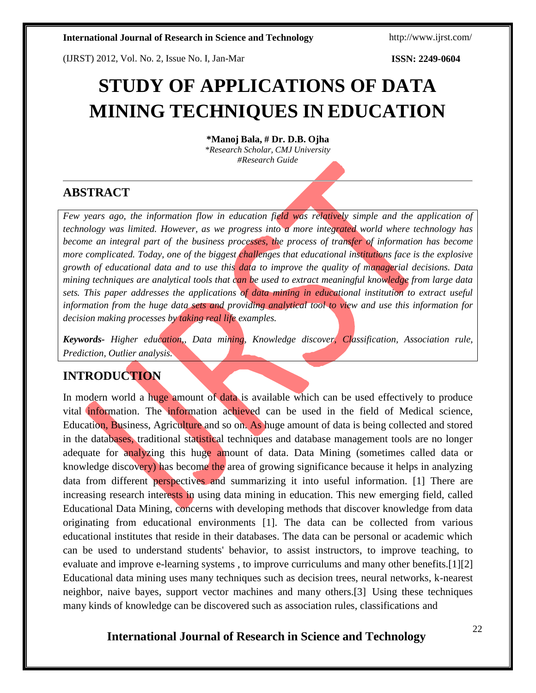(IJRST) 2012, Vol. No. 2, Issue No. I, Jan-Mar **ISSN: 2249-0604**

# **STUDY OF APPLICATIONS OF DATA MINING TECHNIQUES IN EDUCATION**

**\*Manoj Bala, # Dr. D.B. Ojha**

*\*Research Scholar, CMJ University #Research Guide*

## **ABSTRACT**

*Few years ago, the information flow in education field was relatively simple and the application of technology was limited. However, as we progress into a more integrated world where technology has become an integral part of the business processes, the process of transfer of information has become more complicated. Today, one of the biggest challenges that educational institutions face is the explosive growth of educational data and to use this data to improve the quality of managerial decisions. Data mining techniques are analytical tools that can be used to extract meaningful knowledge from large data sets. This paper addresses the applications of data mining in educational institution to extract useful information from the huge data sets and providing analytical tool to view and use this information for decision making processes by taking real life examples.*

*Keywords- Higher education,, Data mining, Knowledge discover, Classification, Association rule, Prediction, Outlier analysis.*

## **INTRODUCTION**

In modern world a huge amount of data is available which can be used effectively to produce vital information. The information achieved can be used in the field of Medical science, Education, Business, Agriculture and so on. As huge amount of data is being collected and stored in the databases, traditional statistical techniques and database management tools are no longer adequate for analyzing this huge amount of data. Data Mining (sometimes called data or knowledge discovery) has become the area of growing significance because it helps in analyzing data from different perspectives and summarizing it into useful information. [1] There are increasing research interests in using data mining in education. This new emerging field, called Educational Data Mining, concerns with developing methods that discover knowledge from data originating from educational environments [1]. The data can be collected from various educational institutes that reside in their databases. The data can be personal or academic which can be used to understand students' behavior, to assist instructors, to improve teaching, to evaluate and improve e-learning systems , to improve curriculums and many other benefits.[1][2] Educational data mining uses many techniques such as decision trees, neural networks, k-nearest neighbor, naive bayes, support vector machines and many others.[3] Using these techniques many kinds of knowledge can be discovered such as association rules, classifications and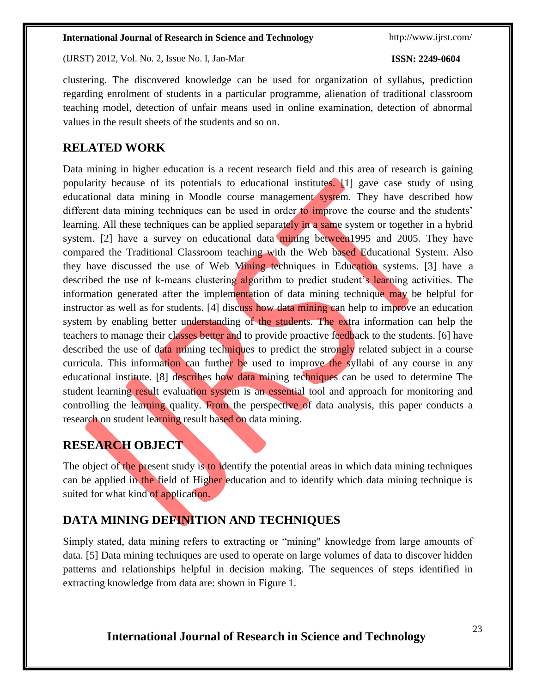(IJRST) 2012, Vol. No. 2, Issue No. I, Jan-Mar **ISSN: 2249-0604**

clustering. The discovered knowledge can be used for organization of syllabus, prediction regarding enrolment of students in a particular programme, alienation of traditional classroom teaching model, detection of unfair means used in online examination, detection of abnormal values in the result sheets of the students and so on.

## **RELATED WORK**

Data mining in higher education is a recent research field and this area of research is gaining popularity because of its potentials to educational institutes. [1] gave case study of using educational data mining in Moodle course management system. They have described how different data mining techniques can be used in order to improve the course and the students' learning. All these techniques can be applied separately in a same system or together in a hybrid system. [2] have a survey on educational data mining between 1995 and 2005. They have compared the Traditional Classroom teaching with the Web based Educational System. Also they have discussed the use of Web Mining techniques in Education systems. [3] have a described the use of k-means clustering algorithm to predict student's learning activities. The information generated after the implementation of data mining technique may be helpful for instructor as well as for students. [4] discuss how data mining can help to improve an education system by enabling better understanding of the students. The extra information can help the teachers to manage their classes better and to provide proactive feedback to the students. [6] have described the use of data mining techniques to predict the strongly related subject in a course curricula. This information can further be used to improve the syllabi of any course in any educational institute. [8] describes how data mining techniques can be used to determine The student learning result evaluation system is an essential tool and approach for monitoring and controlling the learning quality. From the perspective of data analysis, this paper conducts a research on student learning result based on data mining.

## **RESEARCH OBJECT**

The object of the present study is to identify the potential areas in which data mining techniques can be applied in the field of Higher education and to identify which data mining technique is suited for what kind of application.

## **DATA MINING DEFINITION AND TECHNIQUES**

Simply stated, data mining refers to extracting or "mining" knowledge from large amounts of data. [5] Data mining techniques are used to operate on large volumes of data to discover hidden patterns and relationships helpful in decision making. The sequences of steps identified in extracting knowledge from data are: shown in Figure 1.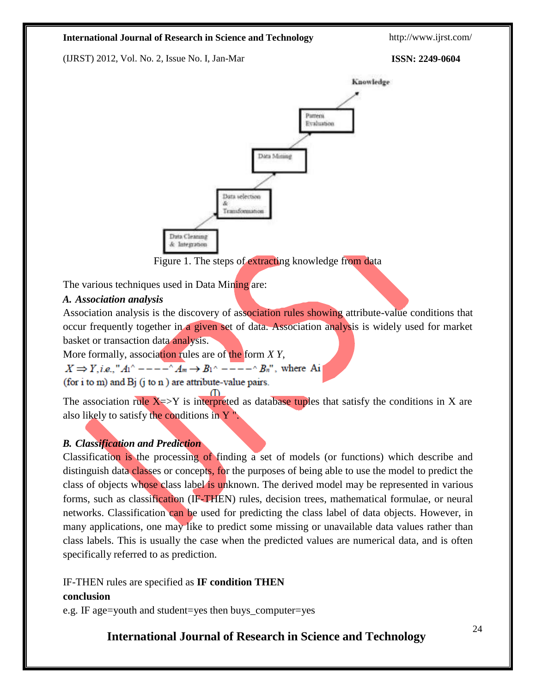(IJRST) 2012, Vol. No. 2, Issue No. I, Jan-Mar **ISSN: 2249-0604**



Figure 1. The steps of extracting knowledge from data

The various techniques used in Data Mining are:

### *A. Association analysis*

Association analysis is the discovery of association rules showing attribute-value conditions that occur frequently together in a given set of data. Association analysis is widely used for market basket or transaction data analysis.

More formally, association rules are of the form *X Y*,

 $X \Rightarrow Y$ , i.e., " $A_1^{\wedge}$  - - - -  $\wedge A_m \rightarrow B_1^{\wedge}$  - - - -  $\wedge B_n^{\wedge}$ ", where Ai

(for i to m) and  $Bj$  (j to n) are attribute-value pairs.

The association rule  $X \Rightarrow Y$  is interpreted as database tuples that satisfy the conditions in X are also likely to satisfy the conditions in  $Y$ <sup>"</sup>.

## *B. Classification and Prediction*

Classification is the processing of finding a set of models (or functions) which describe and distinguish data classes or concepts, for the purposes of being able to use the model to predict the class of objects whose class label is unknown. The derived model may be represented in various forms, such as classification (IF-THEN) rules, decision trees, mathematical formulae, or neural networks. Classification can be used for predicting the class label of data objects. However, in many applications, one may like to predict some missing or unavailable data values rather than class labels. This is usually the case when the predicted values are numerical data, and is often specifically referred to as prediction.

IF-THEN rules are specified as **IF condition THEN conclusion**

e.g. IF age=youth and student=yes then buys\_computer=yes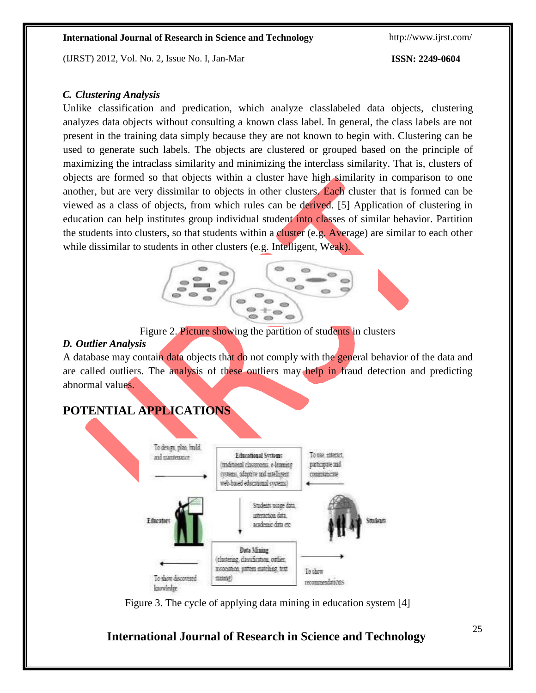(IJRST) 2012, Vol. No. 2, Issue No. I, Jan-Mar **ISSN: 2249-0604**

### *C. Clustering Analysis*

Unlike classification and predication, which analyze classlabeled data objects, clustering analyzes data objects without consulting a known class label. In general, the class labels are not present in the training data simply because they are not known to begin with. Clustering can be used to generate such labels. The objects are clustered or grouped based on the principle of maximizing the intraclass similarity and minimizing the interclass similarity. That is, clusters of objects are formed so that objects within a cluster have high similarity in comparison to one another, but are very dissimilar to objects in other clusters. Each cluster that is formed can be viewed as a class of objects, from which rules can be derived. [5] Application of clustering in education can help institutes group individual student into classes of similar behavior. Partition the students into clusters, so that students within a cluster (e.g. Average) are similar to each other while dissimilar to students in other clusters (e.g. Intelligent, Weak).



Figure 2. Picture showing the partition of students in clusters

### *D. Outlier Analysis*

A database may contain data objects that do not comply with the general behavior of the data and are called outliers. The analysis of these outliers may help in fraud detection and predicting abnormal values.

## **POTENTIAL APPLICATIONS**



Figure 3. The cycle of applying data mining in education system [4]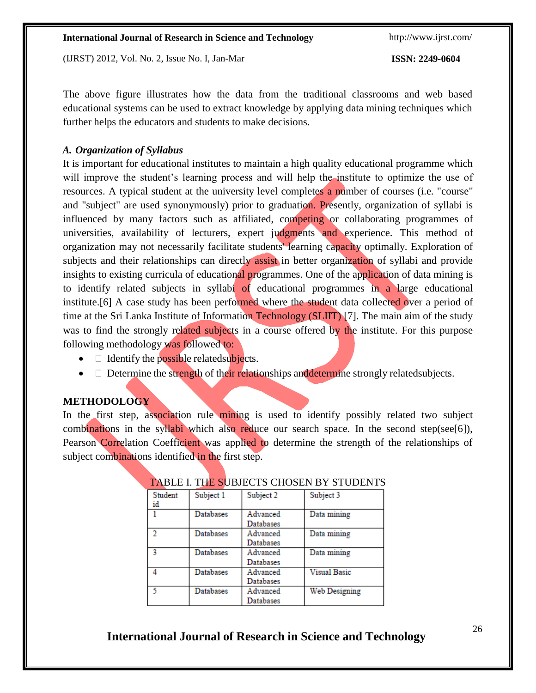(IJRST) 2012, Vol. No. 2, Issue No. I, Jan-Mar **ISSN: 2249-0604**

The above figure illustrates how the data from the traditional classrooms and web based educational systems can be used to extract knowledge by applying data mining techniques which further helps the educators and students to make decisions.

## *A. Organization of Syllabus*

It is important for educational institutes to maintain a high quality educational programme which will improve the student's learning process and will help the institute to optimize the use of resources. A typical student at the university level completes a number of courses (i.e. "course" and "subject" are used synonymously) prior to graduation. Presently, organization of syllabi is influenced by many factors such as affiliated, competing or collaborating programmes of universities, availability of lecturers, expert judgments and experience. This method of organization may not necessarily facilitate students' learning capacity optimally. Exploration of subjects and their relationships can directly assist in better organization of syllabi and provide insights to existing curricula of educational programmes. One of the application of data mining is to identify related subjects in syllabi of educational programmes in a large educational institute.<sup>[6]</sup> A case study has been performed where the student data collected over a period of time at the Sri Lanka Institute of Information Technology (SLIIT) [7]. The main aim of the study was to find the strongly related subjects in a course offered by the institute. For this purpose following methodology was followed to:

- $\bullet$   $\Box$  Identify the possible related subjects.
- $\bullet$   $\Box$  Determine the strength of their relationships and determine strongly related subjects.

## **METHODOLOGY**

In the first step, association rule mining is used to identify possibly related two subject combinations in the syllabi which also reduce our search space. In the second step(see[6]), Pearson Correlation Coefficient was applied to determine the strength of the relationships of subject combinations identified in the first step.

| Student<br>id | Subject 1 | Subject 2        | Subject 3            |
|---------------|-----------|------------------|----------------------|
|               | Databases | Advanced         | Data mining          |
|               |           | Databases        |                      |
| $\mathcal{D}$ | Databases | Advanced         | Data mining          |
|               |           | <b>Databases</b> |                      |
|               | Databases | Advanced         | Data mining          |
|               |           | Databases        |                      |
| Δ             | Databases | Advanced         | <b>Visual Basic</b>  |
|               |           | Databases        |                      |
| 5             | Databases | Advanced         | <b>Web Designing</b> |
|               |           | Databases        |                      |

## TABLE I. THE SUBJECTS CHOSEN BY STUDENTS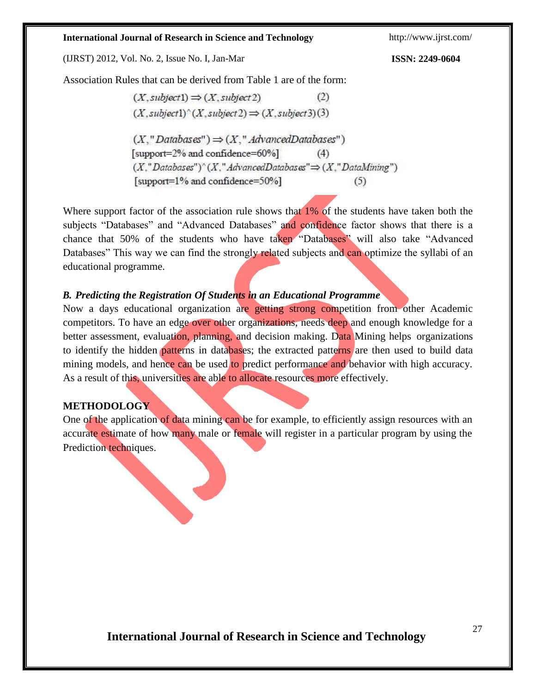(IJRST) 2012, Vol. No. 2, Issue No. I, Jan-Mar **ISSN: 2249-0604**

Association Rules that can be derived from Table 1 are of the form:

 $(X, subject1) \Rightarrow (X, subject2)$  $(2)$  $(X, subject)^(X, subject2) \Rightarrow (X, subject3)(3)$  $(X, "Databases") \Rightarrow (X, "AdvancedDatabase")$ [support=2% and confidence=60%]  $(4)$  $(X." Database")^(X." Advanced Databases" \Rightarrow (X." Data Mining")$ [support=1% and confidence=50%]  $(5)$ 

Where support factor of the association rule shows that 1% of the students have taken both the subjects "Databases" and "Advanced Databases" and confidence factor shows that there is a chance that 50% of the students who have taken "Databases" will also take "Advanced Databases" This way we can find the strongly related subjects and can optimize the syllabi of an educational programme.

### *B. Predicting the Registration Of Students in an Educational Programme*

Now a days educational organization are getting strong competition from other Academic competitors. To have an edge over other organizations, needs deep and enough knowledge for a better assessment, evaluation, planning, and decision making. Data Mining helps organizations to identify the hidden patterns in databases; the extracted patterns are then used to build data mining models, and hence can be used to predict performance and behavior with high accuracy. As a result of this, universities are able to allocate resources more effectively.

## **METHODOLOGY**

One of the application of data mining can be for example, to efficiently assign resources with an accurate estimate of how many male or female will register in a particular program by using the Prediction techniques.

$$
\sum_{i=1}^{n} a_i
$$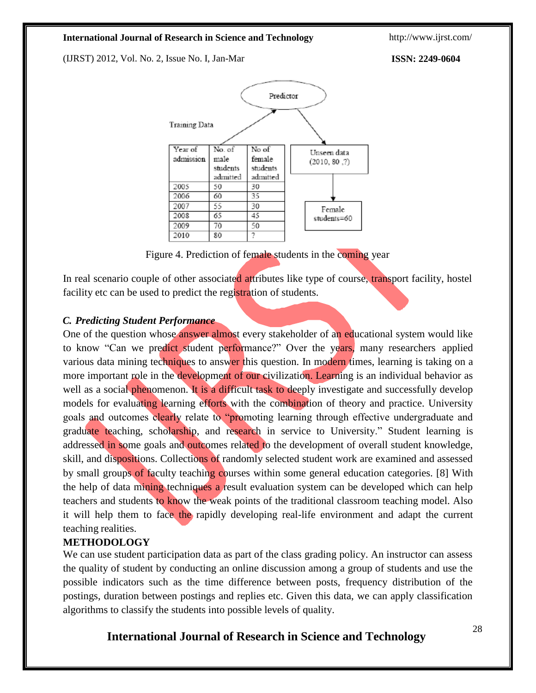(IJRST) 2012, Vol. No. 2, Issue No. I, Jan-Mar **ISSN: 2249-0604**



Figure 4. Prediction of female students in the coming year

In real scenario couple of other associated attributes like type of course, transport facility, hostel facility etc can be used to predict the registration of students.

### *C. Predicting Student Performance*

One of the question whose answer almost every stakeholder of an educational system would like to know "Can we predict student performance?" Over the years, many researchers applied various data mining techniques to answer this question. In modern times, learning is taking on a more important role in the development of our civilization. Learning is an individual behavior as well as a social phenomenon. It is a difficult task to deeply investigate and successfully develop models for evaluating learning efforts with the combination of theory and practice. University goals and outcomes clearly relate to "promoting learning through effective undergraduate and graduate teaching, scholarship, and research in service to University." Student learning is addressed in some goals and outcomes related to the development of overall student knowledge, skill, and dispositions. Collections of randomly selected student work are examined and assessed by small groups of faculty teaching courses within some general education categories. [8] With the help of data mining techniques a result evaluation system can be developed which can help teachers and students to know the weak points of the traditional classroom teaching model. Also it will help them to face the rapidly developing real-life environment and adapt the current teaching realities.

## **METHODOLOGY**

We can use student participation data as part of the class grading policy. An instructor can assess the quality of student by conducting an online discussion among a group of students and use the possible indicators such as the time difference between posts, frequency distribution of the postings, duration between postings and replies etc. Given this data, we can apply classification algorithms to classify the students into possible levels of quality.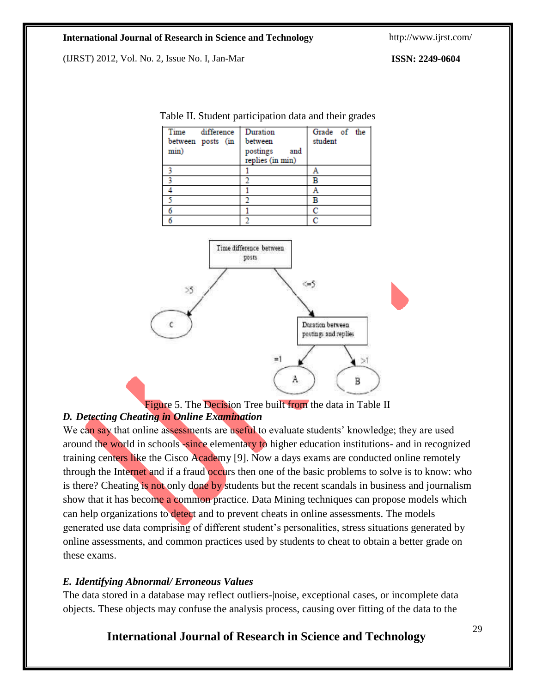(IJRST) 2012, Vol. No. 2, Issue No. I, Jan-Mar **ISSN: 2249-0604**

| Time<br>difference<br>between posts (in<br>min) | Duration<br>between<br>postings<br>and<br>replies (in min) | Grade of the<br>student |
|-------------------------------------------------|------------------------------------------------------------|-------------------------|
|                                                 |                                                            | A                       |
|                                                 |                                                            | В                       |
|                                                 |                                                            | A                       |
|                                                 |                                                            | В                       |
|                                                 |                                                            | C                       |
|                                                 |                                                            | c                       |

Table II. Student participation data and their grades



Figure 5. The Decision Tree built from the data in Table II

## *D. Detecting Cheating in Online Examination*

We can say that online assessments are useful to evaluate students' knowledge; they are used around the world in schools -since elementary to higher education institutions- and in recognized training centers like the Cisco Academy [9]. Now a days exams are conducted online remotely through the Internet and if a fraud occurs then one of the basic problems to solve is to know: who is there? Cheating is not only done by students but the recent scandals in business and journalism show that it has become a common practice. Data Mining techniques can propose models which can help organizations to detect and to prevent cheats in online assessments. The models generated use data comprising of different student's personalities, stress situations generated by online assessments, and common practices used by students to cheat to obtain a better grade on these exams.

## *E. Identifying Abnormal/ Erroneous Values*

The data stored in a database may reflect outliers-|noise, exceptional cases, or incomplete data objects. These objects may confuse the analysis process, causing over fitting of the data to the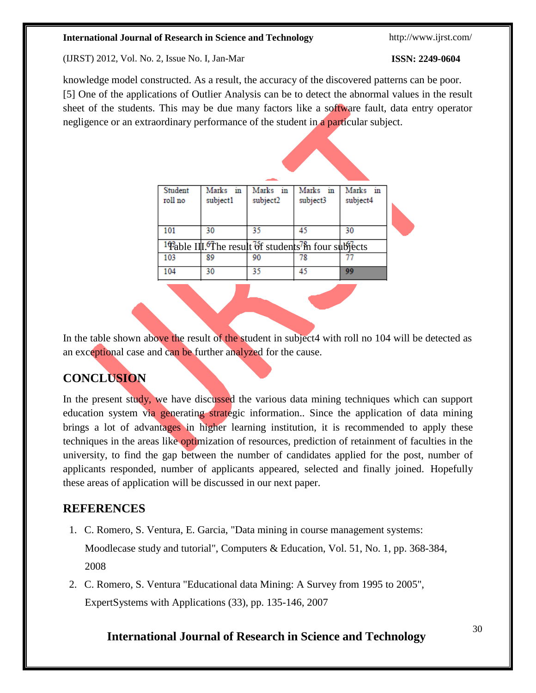(IJRST) 2012, Vol. No. 2, Issue No. I, Jan-Mar **ISSN: 2249-0604**

knowledge model constructed. As a result, the accuracy of the discovered patterns can be poor. [5] One of the applications of Outlier Analysis can be to detect the abnormal values in the result sheet of the students. This may be due many factors like a software fault, data entry operator negligence or an extraordinary performance of the student in a particular subject.

| Student<br>roll no | Marks in<br>subject1 | Marks in<br>subject2                                                         | Marks in<br>subject3 | Marks in<br>subject4 |  |  |
|--------------------|----------------------|------------------------------------------------------------------------------|----------------------|----------------------|--|--|
| 101                | 30                   | 35                                                                           | 45                   | 30                   |  |  |
|                    |                      | <sup>1</sup> Pable III. The result of students <sup>7</sup> in four subjects |                      |                      |  |  |
| 103                | 89                   | 90                                                                           | 78                   |                      |  |  |
| 104                | 30                   | 35                                                                           | 45                   | 99                   |  |  |

In the table shown above the result of the student in subject4 with roll no 104 will be detected as an exceptional case and can be further analyzed for the cause.

## **CONCLUSION**

In the present study, we have discussed the various data mining techniques which can support education system via generating strategic information.. Since the application of data mining brings a lot of advantages in higher learning institution, it is recommended to apply these techniques in the areas like optimization of resources, prediction of retainment of faculties in the university, to find the gap between the number of candidates applied for the post, number of applicants responded, number of applicants appeared, selected and finally joined. Hopefully these areas of application will be discussed in our next paper.

## **REFERENCES**

1. C. Romero, S. Ventura, E. Garcia, "Data mining in course management systems:

Moodlecase study and tutorial", Computers & Education, Vol. 51, No. 1, pp. 368-384, 2008

2. C. Romero, S. Ventura "Educational data Mining: A Survey from 1995 to 2005", ExpertSystems with Applications (33), pp. 135-146, 2007